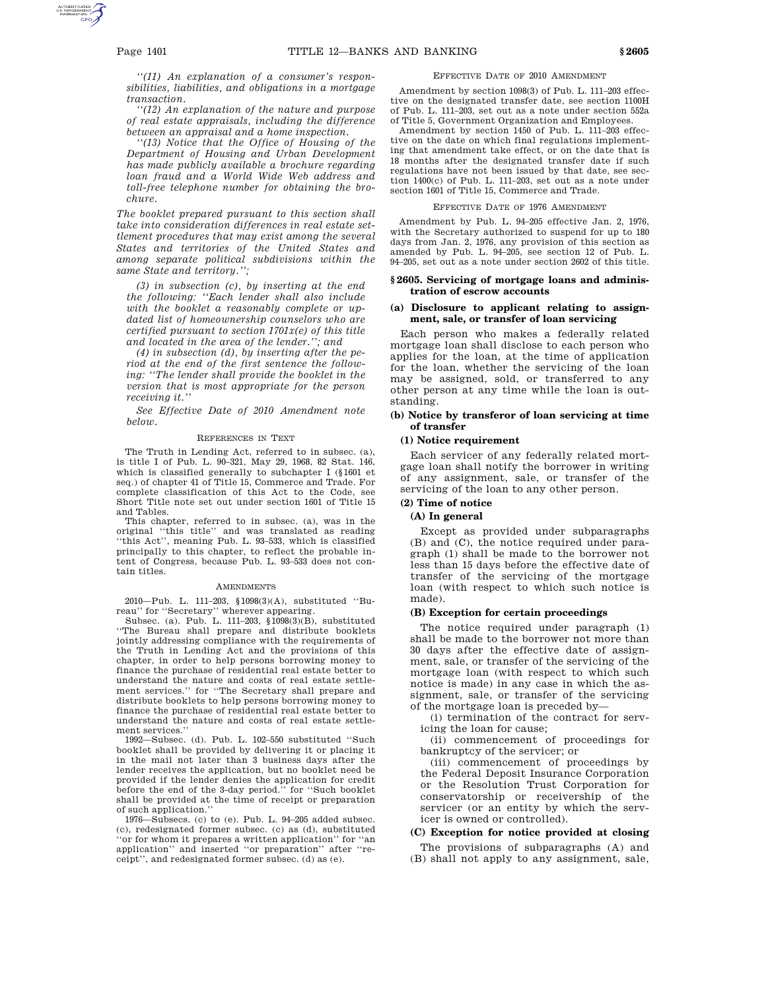*''(11) An explanation of a consumer's responsibilities, liabilities, and obligations in a mortgage transaction.*

*''(12) An explanation of the nature and purpose of real estate appraisals, including the difference between an appraisal and a home inspection.*

*''(13) Notice that the Office of Housing of the Department of Housing and Urban Development has made publicly available a brochure regarding loan fraud and a World Wide Web address and toll-free telephone number for obtaining the brochure.*

*The booklet prepared pursuant to this section shall take into consideration differences in real estate settlement procedures that may exist among the several States and territories of the United States and among separate political subdivisions within the same State and territory.'';*

*(3) in subsection (c), by inserting at the end the following: ''Each lender shall also include with the booklet a reasonably complete or updated list of homeownership counselors who are certified pursuant to section 1701x(e) of this title and located in the area of the lender.''; and*

*(4) in subsection (d), by inserting after the period at the end of the first sentence the following: ''The lender shall provide the booklet in the version that is most appropriate for the person receiving it.''*

*See Effective Date of 2010 Amendment note below.*

#### REFERENCES IN TEXT

The Truth in Lending Act, referred to in subsec. (a), is title I of Pub. L. 90–321, May 29, 1968, 82 Stat. 146, which is classified generally to subchapter I (§1601 et seq.) of chapter 41 of Title 15, Commerce and Trade. For complete classification of this Act to the Code, see Short Title note set out under section 1601 of Title 15 and Tables.

This chapter, referred to in subsec. (a), was in the original ''this title'' and was translated as reading ''this Act'', meaning Pub. L. 93–533, which is classified principally to this chapter, to reflect the probable intent of Congress, because Pub. L. 93–533 does not contain titles.

#### **AMENDMENTS**

2010—Pub. L. 111–203, §1098(3)(A), substituted ''Bu-

reau'' for ''Secretary'' wherever appearing. Subsec. (a). Pub. L. 111–203, §1098(3)(B), substituted ''The Bureau shall prepare and distribute booklets jointly addressing compliance with the requirements of the Truth in Lending Act and the provisions of this chapter, in order to help persons borrowing money to finance the purchase of residential real estate better to understand the nature and costs of real estate settlement services.'' for ''The Secretary shall prepare and distribute booklets to help persons borrowing money to finance the purchase of residential real estate better to understand the nature and costs of real estate settlement services.''

1992—Subsec. (d). Pub. L. 102–550 substituted ''Such booklet shall be provided by delivering it or placing it in the mail not later than 3 business days after the lender receives the application, but no booklet need be provided if the lender denies the application for credit before the end of the 3-day period.'' for ''Such booklet shall be provided at the time of receipt or preparation of such application.''

1976—Subsecs. (c) to (e). Pub. L. 94–205 added subsec. (c), redesignated former subsec. (c) as (d), substituted ''or for whom it prepares a written application'' for ''an application'' and inserted ''or preparation'' after ''receipt'', and redesignated former subsec. (d) as (e).

### EFFECTIVE DATE OF 2010 AMENDMENT

Amendment by section 1098(3) of Pub. L. 111–203 effective on the designated transfer date, see section 1100H of Pub. L. 111–203, set out as a note under section 552a of Title 5, Government Organization and Employees.

Amendment by section 1450 of Pub. L. 111–203 effective on the date on which final regulations implementing that amendment take effect, or on the date that is 18 months after the designated transfer date if such regulations have not been issued by that date, see section 1400(c) of Pub. L. 111–203, set out as a note under section 1601 of Title 15, Commerce and Trade.

#### EFFECTIVE DATE OF 1976 AMENDMENT

Amendment by Pub. L. 94–205 effective Jan. 2, 1976, with the Secretary authorized to suspend for up to 180 days from Jan. 2, 1976, any provision of this section as amended by Pub. L. 94–205, see section 12 of Pub. L. 94–205, set out as a note under section 2602 of this title.

### **§ 2605. Servicing of mortgage loans and administration of escrow accounts**

### **(a) Disclosure to applicant relating to assignment, sale, or transfer of loan servicing**

Each person who makes a federally related mortgage loan shall disclose to each person who applies for the loan, at the time of application for the loan, whether the servicing of the loan may be assigned, sold, or transferred to any other person at any time while the loan is outstanding.

## **(b) Notice by transferor of loan servicing at time of transfer**

#### **(1) Notice requirement**

Each servicer of any federally related mortgage loan shall notify the borrower in writing of any assignment, sale, or transfer of the servicing of the loan to any other person.

# **(2) Time of notice**

## **(A) In general**

Except as provided under subparagraphs (B) and (C), the notice required under paragraph (1) shall be made to the borrower not less than 15 days before the effective date of transfer of the servicing of the mortgage loan (with respect to which such notice is made).

#### **(B) Exception for certain proceedings**

The notice required under paragraph (1) shall be made to the borrower not more than 30 days after the effective date of assignment, sale, or transfer of the servicing of the mortgage loan (with respect to which such notice is made) in any case in which the assignment, sale, or transfer of the servicing of the mortgage loan is preceded by—

(i) termination of the contract for servicing the loan for cause;

(ii) commencement of proceedings for bankruptcy of the servicer; or

(iii) commencement of proceedings by the Federal Deposit Insurance Corporation or the Resolution Trust Corporation for conservatorship or receivership of the servicer (or an entity by which the servicer is owned or controlled).

### **(C) Exception for notice provided at closing**

The provisions of subparagraphs (A) and (B) shall not apply to any assignment, sale,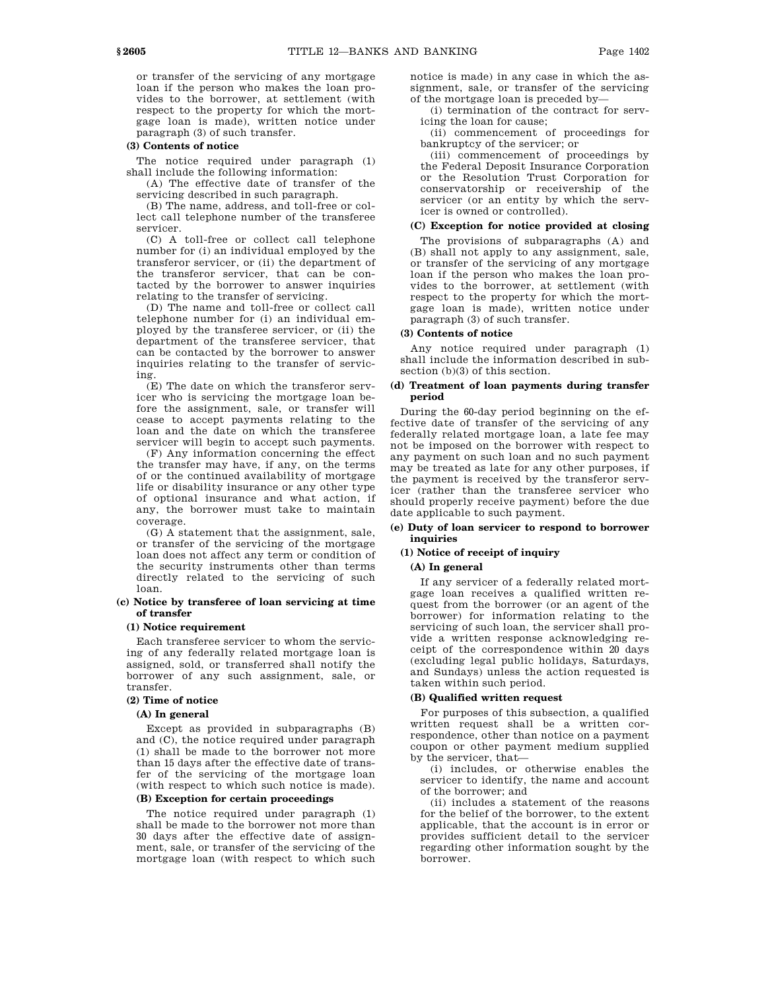or transfer of the servicing of any mortgage loan if the person who makes the loan provides to the borrower, at settlement (with respect to the property for which the mortgage loan is made), written notice under paragraph (3) of such transfer.

### **(3) Contents of notice**

The notice required under paragraph (1) shall include the following information:

(A) The effective date of transfer of the servicing described in such paragraph.

(B) The name, address, and toll-free or collect call telephone number of the transferee servicer.

(C) A toll-free or collect call telephone number for (i) an individual employed by the transferor servicer, or (ii) the department of the transferor servicer, that can be contacted by the borrower to answer inquiries relating to the transfer of servicing.

(D) The name and toll-free or collect call telephone number for (i) an individual employed by the transferee servicer, or (ii) the department of the transferee servicer, that can be contacted by the borrower to answer inquiries relating to the transfer of servicing.

(E) The date on which the transferor servicer who is servicing the mortgage loan before the assignment, sale, or transfer will cease to accept payments relating to the loan and the date on which the transferee servicer will begin to accept such payments.

(F) Any information concerning the effect the transfer may have, if any, on the terms of or the continued availability of mortgage life or disability insurance or any other type of optional insurance and what action, if any, the borrower must take to maintain coverage.

(G) A statement that the assignment, sale, or transfer of the servicing of the mortgage loan does not affect any term or condition of the security instruments other than terms directly related to the servicing of such loan.

### **(c) Notice by transferee of loan servicing at time of transfer**

### **(1) Notice requirement**

Each transferee servicer to whom the servicing of any federally related mortgage loan is assigned, sold, or transferred shall notify the borrower of any such assignment, sale, or transfer.

### **(2) Time of notice**

# **(A) In general**

Except as provided in subparagraphs (B) and (C), the notice required under paragraph (1) shall be made to the borrower not more than 15 days after the effective date of transfer of the servicing of the mortgage loan (with respect to which such notice is made).

# **(B) Exception for certain proceedings**

The notice required under paragraph (1) shall be made to the borrower not more than 30 days after the effective date of assignment, sale, or transfer of the servicing of the mortgage loan (with respect to which such

notice is made) in any case in which the assignment, sale, or transfer of the servicing of the mortgage loan is preceded by—

(i) termination of the contract for servicing the loan for cause;

(ii) commencement of proceedings for bankruptcy of the servicer; or

(iii) commencement of proceedings by the Federal Deposit Insurance Corporation or the Resolution Trust Corporation for conservatorship or receivership of the servicer (or an entity by which the servicer is owned or controlled).

#### **(C) Exception for notice provided at closing**

The provisions of subparagraphs (A) and (B) shall not apply to any assignment, sale, or transfer of the servicing of any mortgage loan if the person who makes the loan provides to the borrower, at settlement (with respect to the property for which the mortgage loan is made), written notice under paragraph (3) of such transfer.

### **(3) Contents of notice**

Any notice required under paragraph (1) shall include the information described in subsection (b)(3) of this section.

## **(d) Treatment of loan payments during transfer period**

During the 60-day period beginning on the effective date of transfer of the servicing of any federally related mortgage loan, a late fee may not be imposed on the borrower with respect to any payment on such loan and no such payment may be treated as late for any other purposes, if the payment is received by the transferor servicer (rather than the transferee servicer who should properly receive payment) before the due date applicable to such payment.

## **(e) Duty of loan servicer to respond to borrower inquiries**

### **(1) Notice of receipt of inquiry**

### **(A) In general**

If any servicer of a federally related mortgage loan receives a qualified written request from the borrower (or an agent of the borrower) for information relating to the servicing of such loan, the servicer shall provide a written response acknowledging receipt of the correspondence within 20 days (excluding legal public holidays, Saturdays, and Sundays) unless the action requested is taken within such period.

# **(B) Qualified written request**

For purposes of this subsection, a qualified written request shall be a written correspondence, other than notice on a payment coupon or other payment medium supplied by the servicer, that—

(i) includes, or otherwise enables the servicer to identify, the name and account of the borrower; and

(ii) includes a statement of the reasons for the belief of the borrower, to the extent applicable, that the account is in error or provides sufficient detail to the servicer regarding other information sought by the borrower.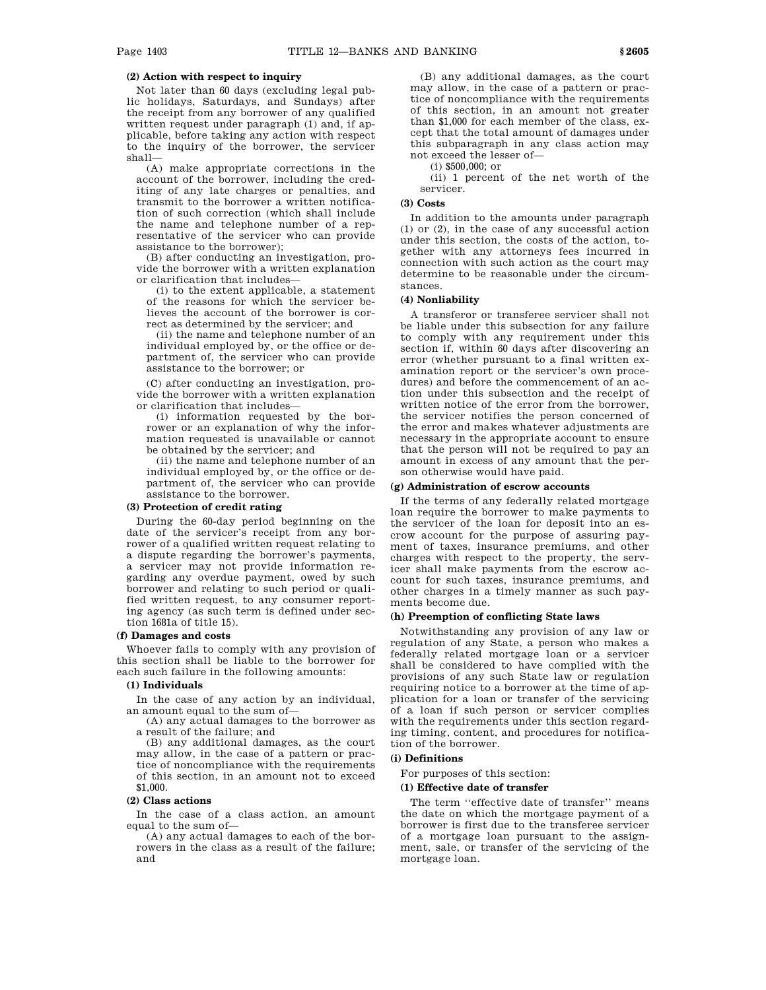## **(2) Action with respect to inquiry**

Not later than 60 days (excluding legal public holidays, Saturdays, and Sundays) after the receipt from any borrower of any qualified written request under paragraph (1) and, if applicable, before taking any action with respect to the inquiry of the borrower, the servicer shall—

(A) make appropriate corrections in the account of the borrower, including the crediting of any late charges or penalties, and transmit to the borrower a written notification of such correction (which shall include the name and telephone number of a representative of the servicer who can provide assistance to the borrower);

(B) after conducting an investigation, provide the borrower with a written explanation or clarification that includes—

(i) to the extent applicable, a statement of the reasons for which the servicer believes the account of the borrower is correct as determined by the servicer; and

(ii) the name and telephone number of an individual employed by, or the office or department of, the servicer who can provide assistance to the borrower; or

(C) after conducting an investigation, provide the borrower with a written explanation or clarification that includes—

(i) information requested by the borrower or an explanation of why the information requested is unavailable or cannot be obtained by the servicer; and

(ii) the name and telephone number of an individual employed by, or the office or department of, the servicer who can provide assistance to the borrower.

#### **(3) Protection of credit rating**

During the 60-day period beginning on the date of the servicer's receipt from any borrower of a qualified written request relating to a dispute regarding the borrower's payments, a servicer may not provide information regarding any overdue payment, owed by such borrower and relating to such period or qualified written request, to any consumer reporting agency (as such term is defined under section 1681a of title 15).

#### **(f) Damages and costs**

Whoever fails to comply with any provision of this section shall be liable to the borrower for each such failure in the following amounts:

## **(1) Individuals**

In the case of any action by an individual, an amount equal to the sum of—

(A) any actual damages to the borrower as a result of the failure; and

(B) any additional damages, as the court may allow, in the case of a pattern or practice of noncompliance with the requirements of this section, in an amount not to exceed \$1,000.

#### **(2) Class actions**

In the case of a class action, an amount equal to the sum of—

(A) any actual damages to each of the borrowers in the class as a result of the failure; and

(B) any additional damages, as the court may allow, in the case of a pattern or practice of noncompliance with the requirements of this section, in an amount not greater than \$1,000 for each member of the class, except that the total amount of damages under this subparagraph in any class action may not exceed the lesser of—

(i) \$500,000; or

(ii) 1 percent of the net worth of the servicer.

### **(3) Costs**

In addition to the amounts under paragraph (1) or (2), in the case of any successful action under this section, the costs of the action, together with any attorneys fees incurred in connection with such action as the court may determine to be reasonable under the circumstances.

#### **(4) Nonliability**

A transferor or transferee servicer shall not be liable under this subsection for any failure to comply with any requirement under this section if, within 60 days after discovering an error (whether pursuant to a final written examination report or the servicer's own procedures) and before the commencement of an action under this subsection and the receipt of written notice of the error from the borrower, the servicer notifies the person concerned of the error and makes whatever adjustments are necessary in the appropriate account to ensure that the person will not be required to pay an amount in excess of any amount that the person otherwise would have paid.

# **(g) Administration of escrow accounts**

If the terms of any federally related mortgage loan require the borrower to make payments to the servicer of the loan for deposit into an escrow account for the purpose of assuring payment of taxes, insurance premiums, and other charges with respect to the property, the servicer shall make payments from the escrow account for such taxes, insurance premiums, and other charges in a timely manner as such payments become due.

### **(h) Preemption of conflicting State laws**

Notwithstanding any provision of any law or regulation of any State, a person who makes a federally related mortgage loan or a servicer shall be considered to have complied with the provisions of any such State law or regulation requiring notice to a borrower at the time of application for a loan or transfer of the servicing of a loan if such person or servicer complies with the requirements under this section regarding timing, content, and procedures for notification of the borrower.

#### **(i) Definitions**

For purposes of this section:

#### **(1) Effective date of transfer**

The term ''effective date of transfer'' means the date on which the mortgage payment of a borrower is first due to the transferee servicer of a mortgage loan pursuant to the assignment, sale, or transfer of the servicing of the mortgage loan.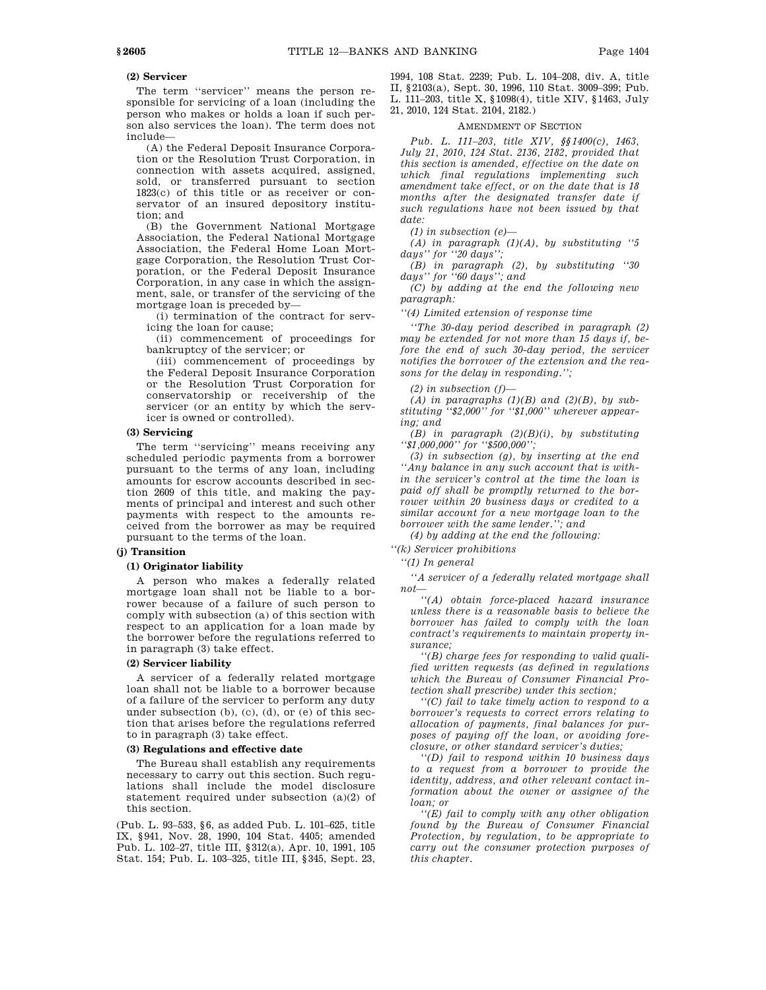## **(2) Servicer**

The term ''servicer'' means the person responsible for servicing of a loan (including the person who makes or holds a loan if such person also services the loan). The term does not include—

(A) the Federal Deposit Insurance Corporation or the Resolution Trust Corporation, in connection with assets acquired, assigned, sold, or transferred pursuant to section 1823(c) of this title or as receiver or conservator of an insured depository institution; and

(B) the Government National Mortgage Association, the Federal National Mortgage Association, the Federal Home Loan Mortgage Corporation, the Resolution Trust Corporation, or the Federal Deposit Insurance Corporation, in any case in which the assignment, sale, or transfer of the servicing of the mortgage loan is preceded by—

(i) termination of the contract for servicing the loan for cause;

(ii) commencement of proceedings for bankruptcy of the servicer; or

(iii) commencement of proceedings by the Federal Deposit Insurance Corporation or the Resolution Trust Corporation for conservatorship or receivership of the servicer (or an entity by which the servicer is owned or controlled).

# **(3) Servicing**

The term "servicing" means receiving any scheduled periodic payments from a borrower pursuant to the terms of any loan, including amounts for escrow accounts described in section 2609 of this title, and making the payments of principal and interest and such other payments with respect to the amounts received from the borrower as may be required pursuant to the terms of the loan.

## **(j) Transition**

### **(1) Originator liability**

A person who makes a federally related mortgage loan shall not be liable to a borrower because of a failure of such person to comply with subsection (a) of this section with respect to an application for a loan made by the borrower before the regulations referred to in paragraph (3) take effect.

#### **(2) Servicer liability**

A servicer of a federally related mortgage loan shall not be liable to a borrower because of a failure of the servicer to perform any duty under subsection (b), (c), (d), or (e) of this section that arises before the regulations referred to in paragraph (3) take effect.

### **(3) Regulations and effective date**

The Bureau shall establish any requirements necessary to carry out this section. Such regulations shall include the model disclosure statement required under subsection (a)(2) of this section.

(Pub. L. 93–533, §6, as added Pub. L. 101–625, title IX, §941, Nov. 28, 1990, 104 Stat. 4405; amended Pub. L. 102–27, title III, §312(a), Apr. 10, 1991, 105 Stat. 154; Pub. L. 103–325, title III, §345, Sept. 23,

1994, 108 Stat. 2239; Pub. L. 104–208, div. A, title II, §2103(a), Sept. 30, 1996, 110 Stat. 3009–399; Pub. L. 111–203, title X, §1098(4), title XIV, §1463, July 21, 2010, 124 Stat. 2104, 2182.)

#### AMENDMENT OF SECTION

*Pub. L. 111–203, title XIV, §§1400(c), 1463, July 21, 2010, 124 Stat. 2136, 2182, provided that this section is amended, effective on the date on which final regulations implementing such amendment take effect, or on the date that is 18 months after the designated transfer date if such regulations have not been issued by that date:*

*(1) in subsection (e)—*

*(A) in paragraph (1)(A), by substituting ''5 days'' for ''20 days'';*

*(B) in paragraph (2), by substituting ''30 days'' for ''60 days''; and*

*(C) by adding at the end the following new paragraph:*

*''(4) Limited extension of response time*

*''The 30-day period described in paragraph (2) may be extended for not more than 15 days if, before the end of such 30-day period, the servicer notifies the borrower of the extension and the reasons for the delay in responding.'';*

*(2) in subsection (f)—*

*(A) in paragraphs (1)(B) and (2)(B), by substituting ''\$2,000'' for ''\$1,000'' wherever appearing; and*

*(B) in paragraph (2)(B)(i), by substituting ''\$1,000,000'' for ''\$500,000'';*

*(3) in subsection (g), by inserting at the end ''Any balance in any such account that is within the servicer's control at the time the loan is paid off shall be promptly returned to the borrower within 20 business days or credited to a similar account for a new mortgage loan to the borrower with the same lender.''; and*

*(4) by adding at the end the following:*

*''(k) Servicer prohibitions*

*''(1) In general*

*''A servicer of a federally related mortgage shall not—*

*''(A) obtain force-placed hazard insurance unless there is a reasonable basis to believe the borrower has failed to comply with the loan contract's requirements to maintain property insurance;*

*''(B) charge fees for responding to valid qualified written requests (as defined in regulations which the Bureau of Consumer Financial Protection shall prescribe) under this section;*

*''(C) fail to take timely action to respond to a borrower's requests to correct errors relating to allocation of payments, final balances for purposes of paying off the loan, or avoiding foreclosure, or other standard servicer's duties;*

*''(D) fail to respond within 10 business days to a request from a borrower to provide the identity, address, and other relevant contact information about the owner or assignee of the loan; or*

*''(E) fail to comply with any other obligation found by the Bureau of Consumer Financial Protection, by regulation, to be appropriate to carry out the consumer protection purposes of this chapter.*